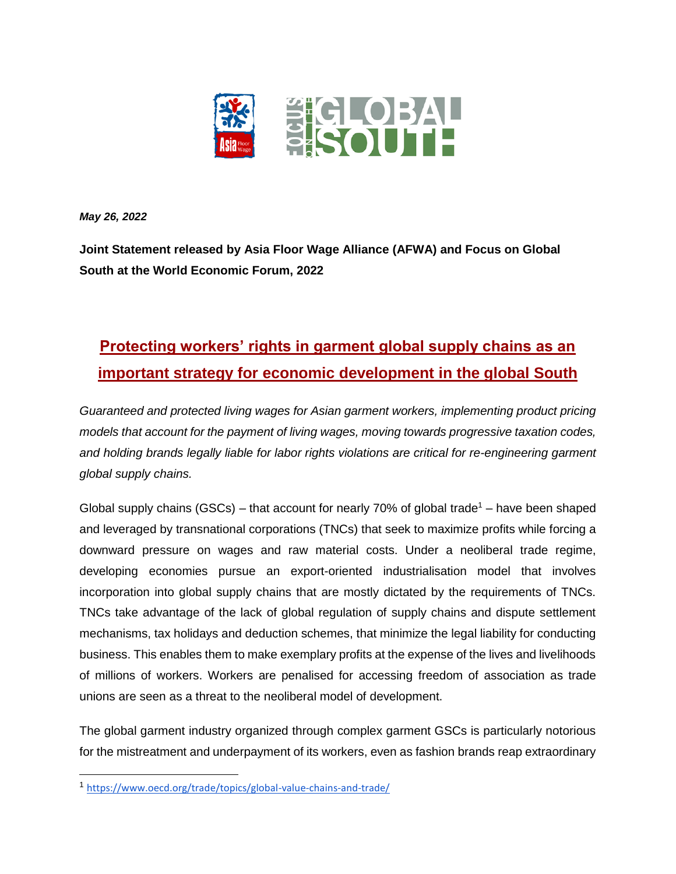

*May 26, 2022*

**Joint Statement released by Asia Floor Wage Alliance (AFWA) and Focus on Global South at the World Economic Forum, 2022**

## **Protecting workers' rights in garment global supply chains as an important strategy for economic development in the global South**

*Guaranteed and protected living wages for Asian garment workers, implementing product pricing models that account for the payment of living wages, moving towards progressive taxation codes, and holding brands legally liable for labor rights violations are critical for re-engineering garment global supply chains.* 

Global supply chains (GSCs) – that account for nearly 70% of global trade<sup>1</sup> – have been shaped and leveraged by transnational corporations (TNCs) that seek to maximize profits while forcing a downward pressure on wages and raw material costs. Under a neoliberal trade regime, developing economies pursue an export-oriented industrialisation model that involves incorporation into global supply chains that are mostly dictated by the requirements of TNCs. TNCs take advantage of the lack of global regulation of supply chains and dispute settlement mechanisms, tax holidays and deduction schemes, that minimize the legal liability for conducting business. This enables them to make exemplary profits at the expense of the lives and livelihoods of millions of workers. Workers are penalised for accessing freedom of association as trade unions are seen as a threat to the neoliberal model of development.

The global garment industry organized through complex garment GSCs is particularly notorious for the mistreatment and underpayment of its workers, even as fashion brands reap extraordinary

<sup>1</sup> <https://www.oecd.org/trade/topics/global-value-chains-and-trade/>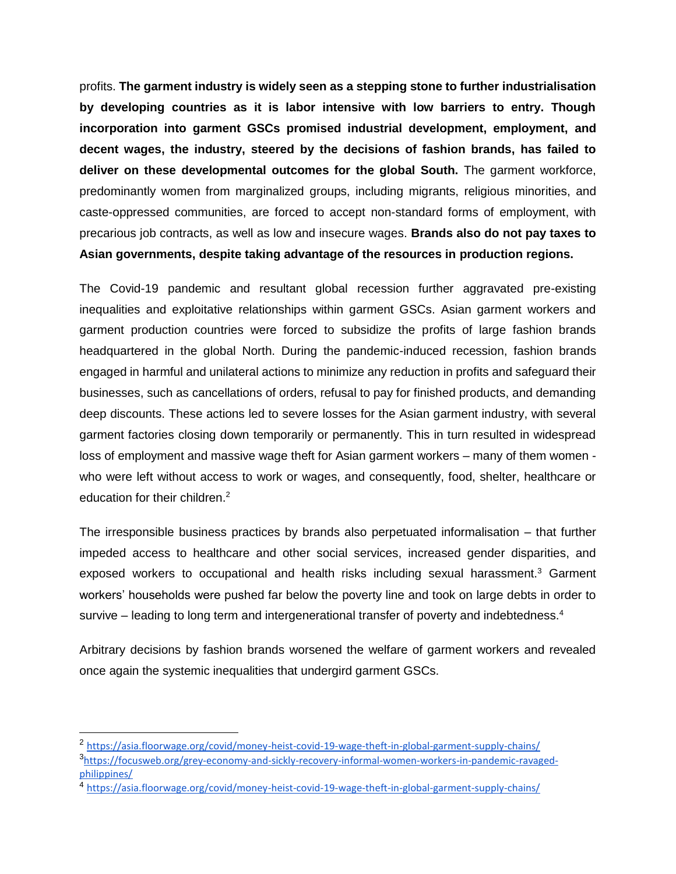profits. **The garment industry is widely seen as a stepping stone to further industrialisation by developing countries as it is labor intensive with low barriers to entry. Though incorporation into garment GSCs promised industrial development, employment, and decent wages, the industry, steered by the decisions of fashion brands, has failed to deliver on these developmental outcomes for the global South.** The garment workforce, predominantly women from marginalized groups, including migrants, religious minorities, and caste-oppressed communities, are forced to accept non-standard forms of employment, with precarious job contracts, as well as low and insecure wages. **Brands also do not pay taxes to Asian governments, despite taking advantage of the resources in production regions.**

The Covid-19 pandemic and resultant global recession further aggravated pre-existing inequalities and exploitative relationships within garment GSCs. Asian garment workers and garment production countries were forced to subsidize the profits of large fashion brands headquartered in the global North. During the pandemic-induced recession, fashion brands engaged in harmful and unilateral actions to minimize any reduction in profits and safeguard their businesses, such as cancellations of orders, refusal to pay for finished products, and demanding deep discounts. These actions led to severe losses for the Asian garment industry, with several garment factories closing down temporarily or permanently. This in turn resulted in widespread loss of employment and massive wage theft for Asian garment workers – many of them women who were left without access to work or wages, and consequently, food, shelter, healthcare or education for their children.<sup>2</sup>

The irresponsible business practices by brands also perpetuated informalisation – that further impeded access to healthcare and other social services, increased gender disparities, and exposed workers to occupational and health risks including sexual harassment.<sup>3</sup> Garment workers' households were pushed far below the poverty line and took on large debts in order to survive – leading to long term and intergenerational transfer of poverty and indebtedness. $4$ 

Arbitrary decisions by fashion brands worsened the welfare of garment workers and revealed once again the systemic inequalities that undergird garment GSCs.

 $\overline{a}$ 

<sup>&</sup>lt;sup>2</sup> <https://asia.floorwage.org/covid/money-heist-covid-19-wage-theft-in-global-garment-supply-chains/>

<sup>3</sup> [https://focusweb.org/grey-economy-and-sickly-recovery-informal-women-workers-in-pandemic-ravaged](https://focusweb.org/grey-economy-and-sickly-recovery-informal-women-workers-in-pandemic-ravaged-philippines/)[philippines/](https://focusweb.org/grey-economy-and-sickly-recovery-informal-women-workers-in-pandemic-ravaged-philippines/)

<sup>4</sup> <https://asia.floorwage.org/covid/money-heist-covid-19-wage-theft-in-global-garment-supply-chains/>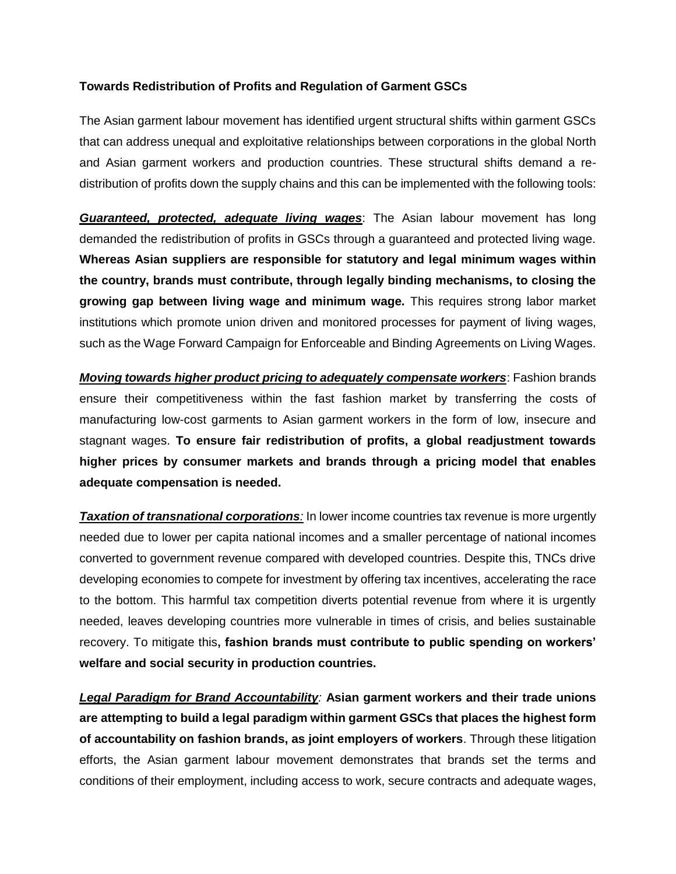## **Towards Redistribution of Profits and Regulation of Garment GSCs**

The Asian garment labour movement has identified urgent structural shifts within garment GSCs that can address unequal and exploitative relationships between corporations in the global North and Asian garment workers and production countries. These structural shifts demand a redistribution of profits down the supply chains and this can be implemented with the following tools:

*Guaranteed, protected, adequate living wages*: The Asian labour movement has long demanded the redistribution of profits in GSCs through a guaranteed and protected living wage. **Whereas Asian suppliers are responsible for statutory and legal minimum wages within the country, brands must contribute, through legally binding mechanisms, to closing the growing gap between living wage and minimum wage.** This requires strong labor market institutions which promote union driven and monitored processes for payment of living wages, such as the Wage Forward Campaign for Enforceable and Binding Agreements on Living Wages.

*Moving towards higher product pricing to adequately compensate workers*: Fashion brands ensure their competitiveness within the fast fashion market by transferring the costs of manufacturing low-cost garments to Asian garment workers in the form of low, insecure and stagnant wages. **To ensure fair redistribution of profits, a global readjustment towards higher prices by consumer markets and brands through a pricing model that enables adequate compensation is needed.**

*Taxation of transnational corporations:* In lower income countries tax revenue is more urgently needed due to lower per capita national incomes and a smaller percentage of national incomes converted to government revenue compared with developed countries. Despite this, TNCs drive developing economies to compete for investment by offering tax incentives, accelerating the race to the bottom. This harmful tax competition diverts potential revenue from where it is urgently needed, leaves developing countries more vulnerable in times of crisis, and belies sustainable recovery. To mitigate this**, fashion brands must contribute to public spending on workers' welfare and social security in production countries.**

*Legal Paradigm for Brand Accountability:* **Asian garment workers and their trade unions are attempting to build a legal paradigm within garment GSCs that places the highest form of accountability on fashion brands, as joint employers of workers**. Through these litigation efforts, the Asian garment labour movement demonstrates that brands set the terms and conditions of their employment, including access to work, secure contracts and adequate wages,